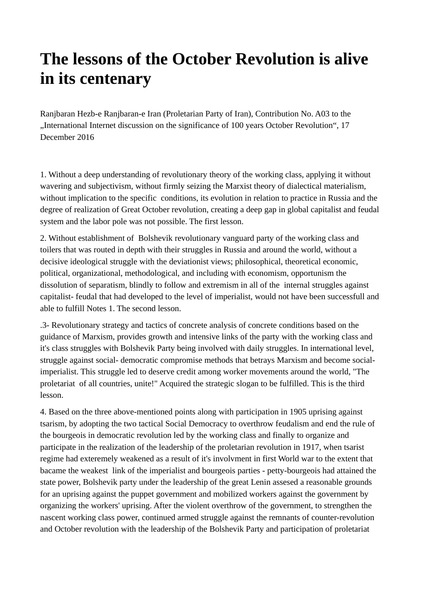## **The lessons of the October Revolution is alive in its centenary**

Ranjbaran Hezb-e Ranjbaran-e Iran (Proletarian Party of Iran), Contribution No. A03 to the "International Internet discussion on the significance of 100 years October Revolution", 17 December 2016

1. Without a deep understanding of revolutionary theory of the working class, applying it without wavering and subjectivism, without firmly seizing the Marxist theory of dialectical materialism, without implication to the specific conditions, its evolution in relation to practice in Russia and the degree of realization of Great October revolution, creating a deep gap in global capitalist and feudal system and the labor pole was not possible. The first lesson.

2. Without establishment of Bolshevik revolutionary vanguard party of the working class and toilers that was routed in depth with their struggles in Russia and around the world, without a decisive ideological struggle with the deviationist views; philosophical, theoretical economic, political, organizational, methodological, and including with economism, opportunism the dissolution of separatism, blindly to follow and extremism in all of the internal struggles against capitalist- feudal that had developed to the level of imperialist, would not have been successfull and able to fulfill Notes 1. The second lesson.

.3- Revolutionary strategy and tactics of concrete analysis of concrete conditions based on the guidance of Marxism, provides growth and intensive links of the party with the working class and it's class struggles with Bolshevik Party being involved with daily struggles. In international level, struggle against social- democratic compromise methods that betrays Marxism and become socialimperialist. This struggle led to deserve credit among worker movements around the world, "The proletariat of all countries, unite!" Acquired the strategic slogan to be fulfilled. This is the third lesson.

4. Based on the three above-mentioned points along with participation in 1905 uprising against tsarism, by adopting the two tactical Social Democracy to overthrow feudalism and end the rule of the bourgeois in democratic revolution led by the working class and finally to organize and participate in the realization of the leadership of the proletarian revolution in 1917, when tsarist regime had exteremely weakened as a result of it's involvment in first World war to the extent that bacame the weakest link of the imperialist and bourgeois parties - petty-bourgeois had attained the state power, Bolshevik party under the leadership of the great Lenin assesed a reasonable grounds for an uprising against the puppet government and mobilized workers against the government by organizing the workers' uprising. After the violent overthrow of the government, to strengthen the nascent working class power, continued armed struggle against the remnants of counter-revolution and October revolution with the leadership of the Bolshevik Party and participation of proletariat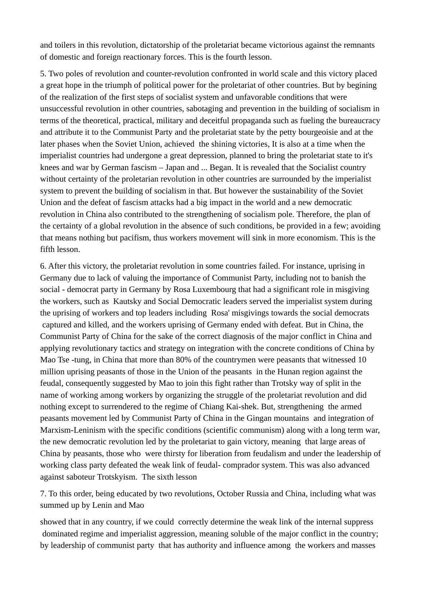and toilers in this revolution, dictatorship of the proletariat became victorious against the remnants of domestic and foreign reactionary forces. This is the fourth lesson.

5. Two poles of revolution and counter-revolution confronted in world scale and this victory placed a great hope in the triumph of political power for the proletariat of other countries. But by begining of the realization of the first steps of socialist system and unfavorable conditions that were unsuccessful revolution in other countries, sabotaging and prevention in the building of socialism in terms of the theoretical, practical, military and deceitful propaganda such as fueling the bureaucracy and attribute it to the Communist Party and the proletariat state by the petty bourgeoisie and at the later phases when the Soviet Union, achieved the shining victories, It is also at a time when the imperialist countries had undergone a great depression, planned to bring the proletariat state to it's knees and war by German fascism – Japan and ... Began. It is revealed that the Socialist country without certainty of the proletarian revolution in other countries are surrounded by the imperialist system to prevent the building of socialism in that. But however the sustainability of the Soviet Union and the defeat of fascism attacks had a big impact in the world and a new democratic revolution in China also contributed to the strengthening of socialism pole. Therefore, the plan of the certainty of a global revolution in the absence of such conditions, be provided in a few; avoiding that means nothing but pacifism, thus workers movement will sink in more economism. This is the fifth lesson.

6. After this victory, the proletariat revolution in some countries failed. For instance, uprising in Germany due to lack of valuing the importance of Communist Party, including not to banish the social - democrat party in Germany by Rosa Luxembourg that had a significant role in misgiving the workers, such as Kautsky and Social Democratic leaders served the imperialist system during the uprising of workers and top leaders including Rosa' misgivings towards the social democrats captured and killed, and the workers uprising of Germany ended with defeat. But in China, the Communist Party of China for the sake of the correct diagnosis of the major conflict in China and applying revolutionary tactics and strategy on integration with the concrete conditions of China by Mao Tse -tung, in China that more than 80% of the countrymen were peasants that witnessed 10 million uprising peasants of those in the Union of the peasants in the Hunan region against the feudal, consequently suggested by Mao to join this fight rather than Trotsky way of split in the name of working among workers by organizing the struggle of the proletariat revolution and did nothing except to surrendered to the regime of Chiang Kai-shek. But, strengthening the armed peasants movement led by Communist Party of China in the Gingan mountains and integration of Marxism-Leninism with the specific conditions (scientific communism) along with a long term war, the new democratic revolution led by the proletariat to gain victory, meaning that large areas of China by peasants, those who were thirsty for liberation from feudalism and under the leadership of working class party defeated the weak link of feudal- comprador system. This was also advanced against saboteur Trotskyism. The sixth lesson

7. To this order, being educated by two revolutions, October Russia and China, including what was summed up by Lenin and Mao

showed that in any country, if we could correctly determine the weak link of the internal suppress dominated regime and imperialist aggression, meaning soluble of the major conflict in the country; by leadership of communist party that has authority and influence among the workers and masses